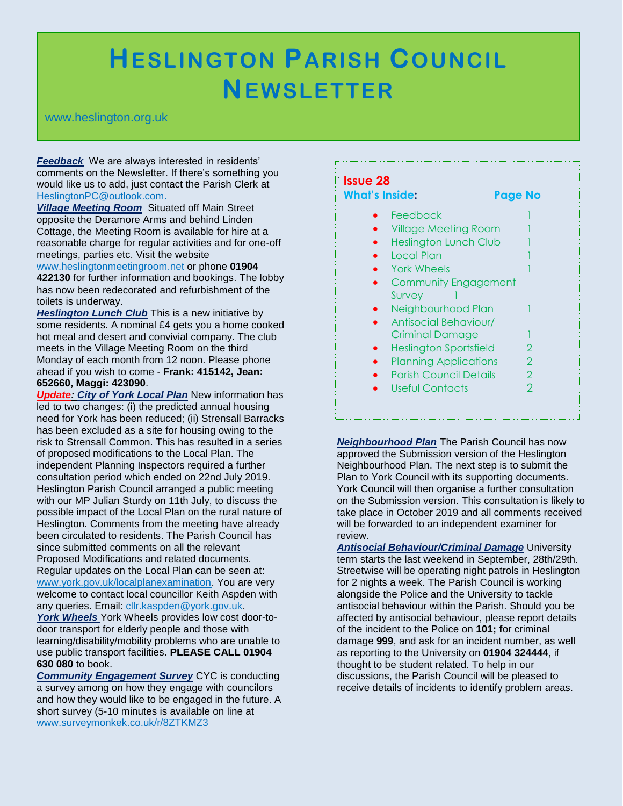## **HESLINGTON PARISH COUNCIL NEWSLETTER**

.

## www.heslington.org.uk

*Feedback* We are always interested in residents' comments on the Newsletter. If there's something you would like us to add, just contact the Parish Clerk at HeslingtonPC@outlook.com.

*Village Meeting Room* Situated off Main Street opposite the Deramore Arms and behind Linden Cottage, the Meeting Room is available for hire at a reasonable charge for regular activities and for one-off meetings, parties etc. Visit the website

www.heslingtonmeetingroom.net or phone **01904 422130** for further information and bookings. The lobby has now been redecorated and refurbishment of the toilets is underway.

**Heslington Lunch Club** This is a new initiative by some residents. A nominal £4 gets you a home cooked hot meal and desert and convivial company. The club meets in the Village Meeting Room on the third Monday of each month from 12 noon. Please phone ahead if you wish to come - **Frank: 415142, Jean: 652660, Maggi: 423090**.

*Update: City of York Local Plan* New information has led to two changes: (i) the predicted annual housing need for York has been reduced; (ii) Strensall Barracks has been excluded as a site for housing owing to the risk to Strensall Common. This has resulted in a series of proposed modifications to the Local Plan. The independent Planning Inspectors required a further consultation period which ended on 22nd July 2019. Heslington Parish Council arranged a public meeting with our MP Julian Sturdy on 11th July, to discuss the possible impact of the Local Plan on the rural nature of Heslington. Comments from the meeting have already been circulated to residents. The Parish Council has since submitted comments on all the relevant Proposed Modifications and related documents. Regular updates on the Local Plan can be seen at: www.york.gov.uk/localplanexamination. You are very welcome to contact local councillor Keith Aspden with

any queries. Email: cllr.kaspden@york.gov.uk.

*York Wheels* York Wheels provides low cost door-todoor transport for elderly people and those with learning/disability/mobility problems who are unable to use public transport facilities**. PLEASE CALL 01904 630 080** to book.

*Community Engagement Survey* CYC is conducting a survey among on how they engage with councilors and how they would like to be engaged in the future. A short survey (5-10 minutes is available on line at www.surveymonkek.co.uk/r/8ZTKMZ3

| What's Inside:                | Page No       |
|-------------------------------|---------------|
| Feedback                      |               |
| <b>Village Meeting Room</b>   |               |
| <b>Heslington Lunch Club</b>  |               |
| <b>Local Plan</b>             |               |
| <b>York Wheels</b>            |               |
| <b>Community Engagement</b>   |               |
| Survey                        |               |
| Neighbourhood Plan            |               |
| Antisocial Behaviour/         |               |
| Criminal Damage               |               |
| Heslington Sportsfield        | 2             |
| <b>Planning Applications</b>  | 2             |
| <b>Parish Council Details</b> | $\mathcal{P}$ |
| Useful Contacts               | $\mathcal{P}$ |

*Neighbourhood Plan* The Parish Council has now approved the Submission version of the Heslington Neighbourhood Plan. The next step is to submit the Plan to York Council with its supporting documents. York Council will then organise a further consultation on the Submission version. This consultation is likely to take place in October 2019 and all comments received will be forwarded to an independent examiner for review.

*Antisocial Behaviour/Criminal Damage* University term starts the last weekend in September, 28th/29th. Streetwise will be operating night patrols in Heslington for 2 nights a week. The Parish Council is working alongside the Police and the University to tackle antisocial behaviour within the Parish. Should you be affected by antisocial behaviour, please report details of the incident to the Police on **101; f**or criminal damage **999**, and ask for an incident number, as well as reporting to the University on **01904 324444**, if thought to be student related. To help in our discussions, the Parish Council will be pleased to receive details of incidents to identify problem areas.